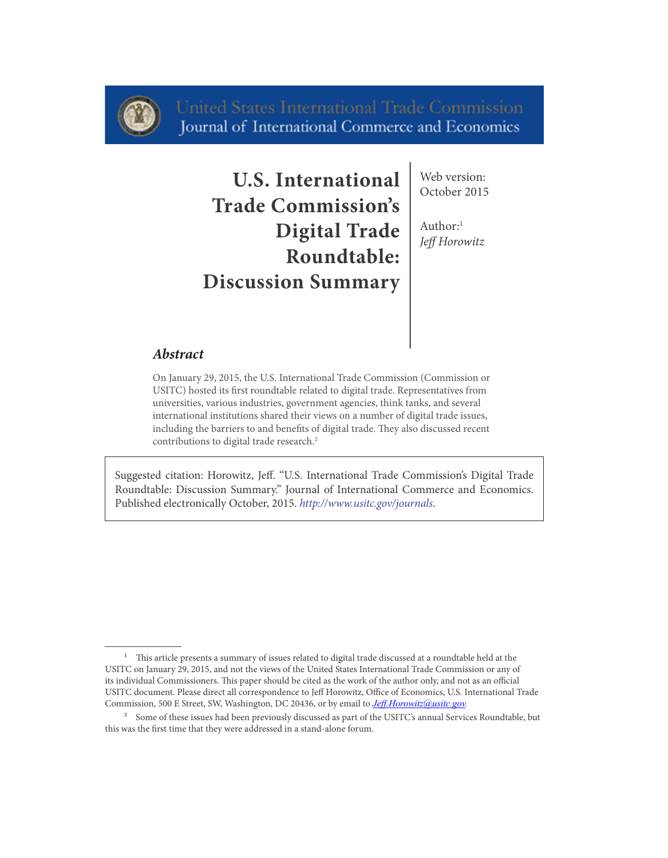

# **U.S. International Trade Commission's Digital Trade Roundtable: Discussion Summary**

Web version: October 2015

Author: $1$ *Jeff Horowitz*

#### *Abstract*

On January 29, 2015, the U.S. International Trade Commission (Commission or USITC) hosted its first roundtable related to digital trade. Representatives from universities, various industries, government agencies, think tanks, and several international institutions shared their views on a number of digital trade issues, including the barriers to and benefits of digital trade. They also discussed recent contributions to digital trade research.<sup>2</sup>

Suggested citation: Horowitz, Jeff. "U.S. International Trade Commission's Digital Trade Roundtable: Discussion Summary." Journal of International Commerce and Economics. Published electronically October, 2015. *http://www.usitc.gov/journals*.

<sup>&</sup>lt;sup>1</sup> This article presents a summary of issues related to digital trade discussed at a roundtable held at the USITC on January 29, 2015, and not the views of the United States International Trade Commission or any of its individual Commissioners. This paper should be cited as the work of the author only, and not as an official USITC document. Please direct all correspondence to Jeff Horowitz, Office of Economics, U.S*.* International Trade Commission, 500 E Street, SW, Washington, DC 20436, or by email to *Jeff.Horowitz*@*usitc.gov.*

<sup>&</sup>lt;sup>2</sup> Some of these issues had been previously discussed as part of the USITC's annual Services Roundtable, but this was the first time that they were addressed in a stand-alone forum.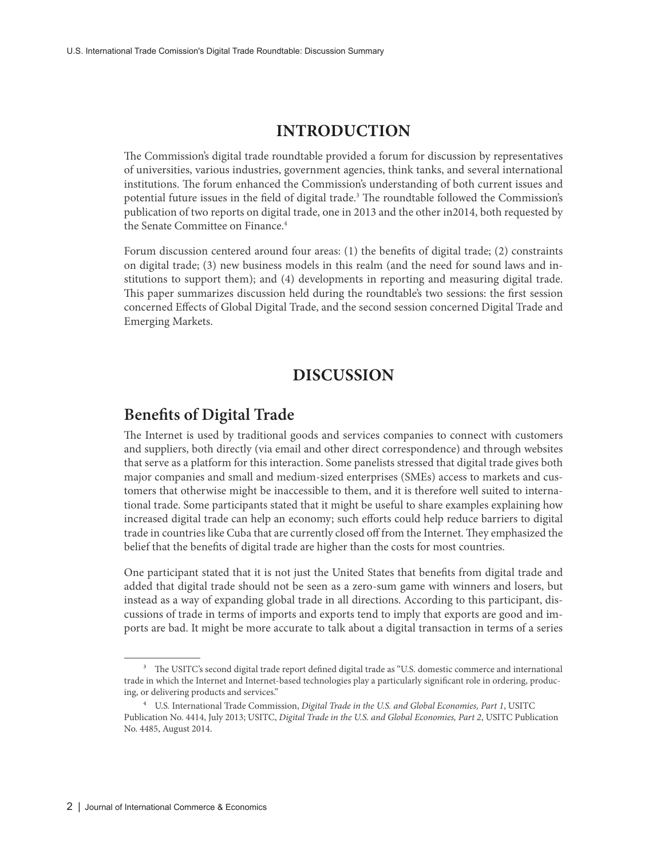#### **INTRODUCTION**

The Commission's digital trade roundtable provided a forum for discussion by representatives of universities, various industries, government agencies, think tanks, and several international institutions. The forum enhanced the Commission's understanding of both current issues and potential future issues in the field of digital trade.<sup>3</sup> The roundtable followed the Commission's publication of two reports on digital trade, one in 2013 and the other in2014, both requested by the Senate Committee on Finance.<sup>4</sup>

Forum discussion centered around four areas: (1) the benefits of digital trade; (2) constraints on digital trade; (3) new business models in this realm (and the need for sound laws and institutions to support them); and (4) developments in reporting and measuring digital trade. This paper summarizes discussion held during the roundtable's two sessions: the first session concerned Effects of Global Digital Trade, and the second session concerned Digital Trade and Emerging Markets.

#### **DISCUSSION**

#### **Benefits of Digital Trade**

The Internet is used by traditional goods and services companies to connect with customers and suppliers, both directly (via email and other direct correspondence) and through websites that serve as a platform for this interaction. Some panelists stressed that digital trade gives both major companies and small and medium-sized enterprises (SMEs) access to markets and customers that otherwise might be inaccessible to them, and it is therefore well suited to international trade. Some participants stated that it might be useful to share examples explaining how increased digital trade can help an economy; such efforts could help reduce barriers to digital trade in countries like Cuba that are currently closed off from the Internet. They emphasized the belief that the benefits of digital trade are higher than the costs for most countries.

One participant stated that it is not just the United States that benefits from digital trade and added that digital trade should not be seen as a zero-sum game with winners and losers, but instead as a way of expanding global trade in all directions. According to this participant, discussions of trade in terms of imports and exports tend to imply that exports are good and imports are bad. It might be more accurate to talk about a digital transaction in terms of a series

<sup>&</sup>lt;sup>3</sup> The USITC's second digital trade report defined digital trade as "U.S. domestic commerce and international trade in which the Internet and Internet-based technologies play a particularly significant role in ordering, producing, or delivering products and services."

<sup>4</sup> U.S*.* International Trade Commission, *Digital Trade in the U.S. and Global Economies, Part 1*, USITC Publication No. 4414, July 2013; USITC, *Digital Trade in the U.S. and Global Economies, Part 2*, USITC Publication No. 4485, August 2014.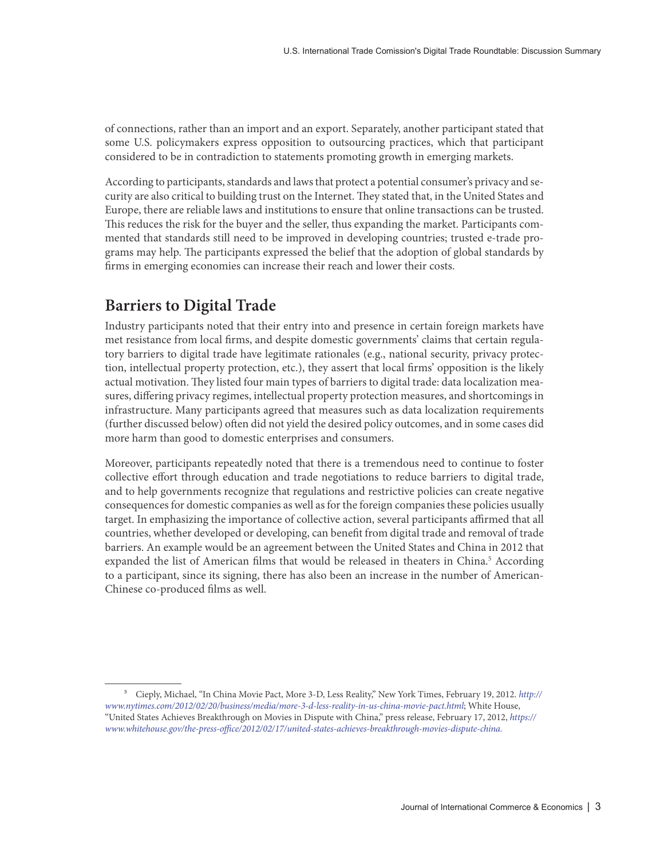of connections, rather than an import and an export. Separately, another participant stated that some U.S. policymakers express opposition to outsourcing practices, which that participant considered to be in contradiction to statements promoting growth in emerging markets.

According to participants, standards and laws that protect a potential consumer's privacy and security are also critical to building trust on the Internet. They stated that, in the United States and Europe, there are reliable laws and institutions to ensure that online transactions can be trusted. This reduces the risk for the buyer and the seller, thus expanding the market. Participants commented that standards still need to be improved in developing countries; trusted e-trade programs may help. The participants expressed the belief that the adoption of global standards by firms in emerging economies can increase their reach and lower their costs.

# **Barriers to Digital Trade**

Industry participants noted that their entry into and presence in certain foreign markets have met resistance from local firms, and despite domestic governments' claims that certain regulatory barriers to digital trade have legitimate rationales (e.g., national security, privacy protection, intellectual property protection, etc.), they assert that local firms' opposition is the likely actual motivation. They listed four main types of barriers to digital trade: data localization measures, differing privacy regimes, intellectual property protection measures, and shortcomings in infrastructure. Many participants agreed that measures such as data localization requirements (further discussed below) often did not yield the desired policy outcomes, and in some cases did more harm than good to domestic enterprises and consumers.

Moreover, participants repeatedly noted that there is a tremendous need to continue to foster collective effort through education and trade negotiations to reduce barriers to digital trade, and to help governments recognize that regulations and restrictive policies can create negative consequences for domestic companies as well as for the foreign companies these policies usually target. In emphasizing the importance of collective action, several participants affirmed that all countries, whether developed or developing, can benefit from digital trade and removal of trade barriers. An example would be an agreement between the United States and China in 2012 that expanded the list of American films that would be released in theaters in China.<sup>5</sup> According to a participant, since its signing, there has also been an increase in the number of American-Chinese co-produced films as well.

<sup>5</sup> Cieply, Michael, "In China Movie Pact, More 3-D, Less Reality," New York Times, February 19, 2012. *http:// www.nytimes.com/2012/02/20/business/media/more-3-d-less-reality-in-us-china-movie-pact.html*; White House, "United States Achieves Breakthrough on Movies in Dispute with China," press release, February 17, 2012, *https:// www.whitehouse.gov/the-press-office/2012/02/17/united-states-achieves-breakthrough-movies-dispute-china.*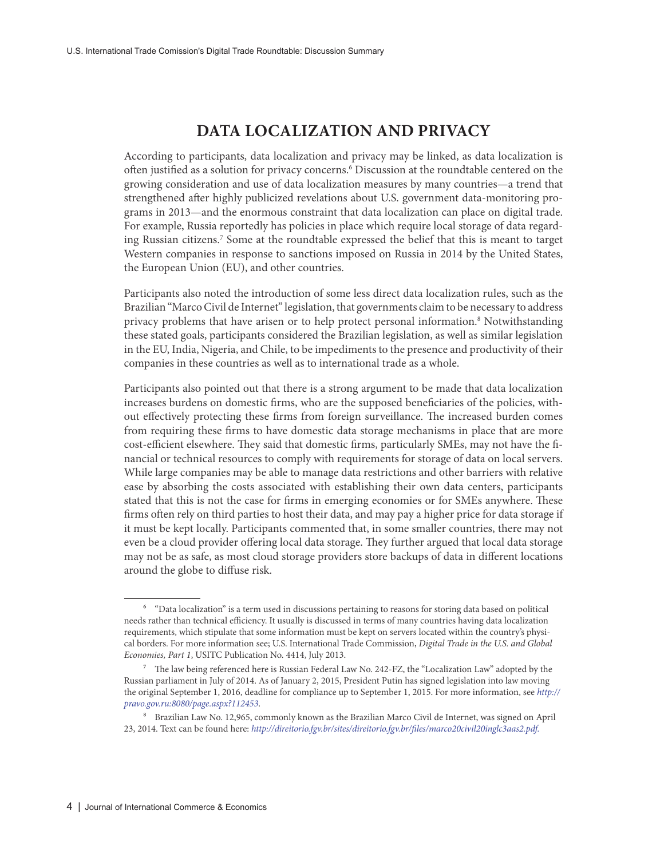## **DATA LOCALIZATION AND PRIVACY**

According to participants, data localization and privacy may be linked, as data localization is often justified as a solution for privacy concerns.6 Discussion at the roundtable centered on the growing consideration and use of data localization measures by many countries—a trend that strengthened after highly publicized revelations about U.S. government data-monitoring programs in 2013—and the enormous constraint that data localization can place on digital trade. For example, Russia reportedly has policies in place which require local storage of data regarding Russian citizens.7 Some at the roundtable expressed the belief that this is meant to target Western companies in response to sanctions imposed on Russia in 2014 by the United States, the European Union (EU), and other countries.

Participants also noted the introduction of some less direct data localization rules, such as the Brazilian "Marco Civil de Internet" legislation, that governments claim to be necessary to address privacy problems that have arisen or to help protect personal information.<sup>8</sup> Notwithstanding these stated goals, participants considered the Brazilian legislation, as well as similar legislation in the EU, India, Nigeria, and Chile, to be impediments to the presence and productivity of their companies in these countries as well as to international trade as a whole.

Participants also pointed out that there is a strong argument to be made that data localization increases burdens on domestic firms, who are the supposed beneficiaries of the policies, without effectively protecting these firms from foreign surveillance. The increased burden comes from requiring these firms to have domestic data storage mechanisms in place that are more cost-efficient elsewhere. They said that domestic firms, particularly SMEs, may not have the financial or technical resources to comply with requirements for storage of data on local servers. While large companies may be able to manage data restrictions and other barriers with relative ease by absorbing the costs associated with establishing their own data centers, participants stated that this is not the case for firms in emerging economies or for SMEs anywhere. These firms often rely on third parties to host their data, and may pay a higher price for data storage if it must be kept locally. Participants commented that, in some smaller countries, there may not even be a cloud provider offering local data storage. They further argued that local data storage may not be as safe, as most cloud storage providers store backups of data in different locations around the globe to diffuse risk.

<sup>6</sup> "Data localization" is a term used in discussions pertaining to reasons for storing data based on political needs rather than technical efficiency. It usually is discussed in terms of many countries having data localization requirements, which stipulate that some information must be kept on servers located within the country's physical borders. For more information see; U.S. International Trade Commission, *Digital Trade in the U.S. and Global Economies, Part 1*, USITC Publication No. 4414, July 2013.

<sup>7</sup> The law being referenced here is Russian Federal Law No. 242-FZ, the "Localization Law" adopted by the Russian parliament in July of 2014. As of January 2, 2015, President Putin has signed legislation into law moving the original September 1, 2016, deadline for compliance up to September 1, 2015. For more information, see *http:// pravo.gov.ru:8080/page.aspx?112453*.

<sup>8</sup> Brazilian Law No. 12,965, commonly known as the Brazilian Marco Civil de Internet, was signed on April 23, 2014. Text can be found here: *http://direitorio.fgv.br/sites/direitorio.fgv.br/files/marco20civil20inglc3aas2.pdf.*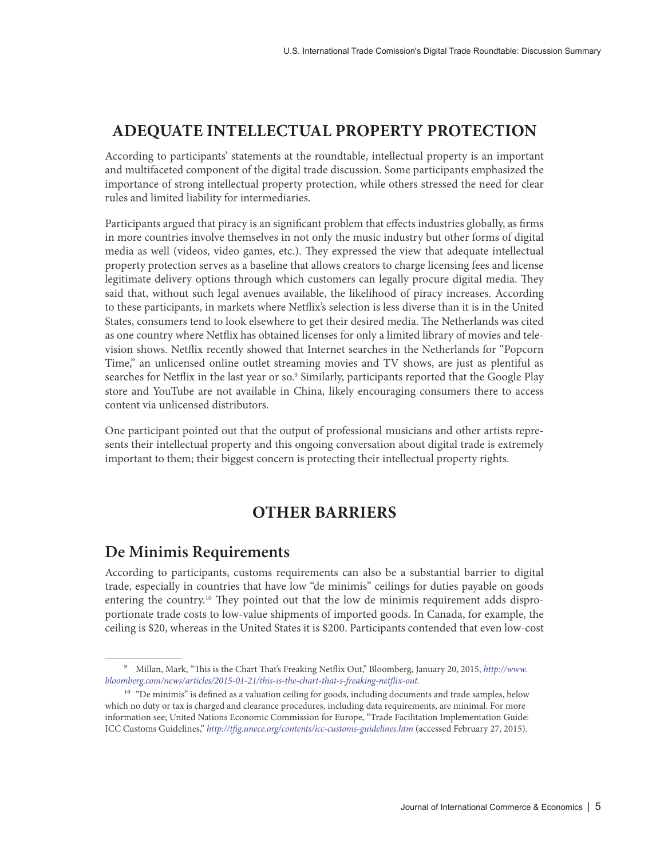## **ADEQUATE INTELLECTUAL PROPERTY PROTECTION**

According to participants' statements at the roundtable, intellectual property is an important and multifaceted component of the digital trade discussion. Some participants emphasized the importance of strong intellectual property protection, while others stressed the need for clear rules and limited liability for intermediaries.

Participants argued that piracy is an significant problem that effects industries globally, as firms in more countries involve themselves in not only the music industry but other forms of digital media as well (videos, video games, etc.). They expressed the view that adequate intellectual property protection serves as a baseline that allows creators to charge licensing fees and license legitimate delivery options through which customers can legally procure digital media. They said that, without such legal avenues available, the likelihood of piracy increases. According to these participants, in markets where Netflix's selection is less diverse than it is in the United States, consumers tend to look elsewhere to get their desired media. The Netherlands was cited as one country where Netflix has obtained licenses for only a limited library of movies and television shows. Netflix recently showed that Internet searches in the Netherlands for "Popcorn Time," an unlicensed online outlet streaming movies and TV shows, are just as plentiful as searches for Netflix in the last year or so.<sup>9</sup> Similarly, participants reported that the Google Play store and YouTube are not available in China, likely encouraging consumers there to access content via unlicensed distributors.

One participant pointed out that the output of professional musicians and other artists represents their intellectual property and this ongoing conversation about digital trade is extremely important to them; their biggest concern is protecting their intellectual property rights.

## **OTHER BARRIERS**

#### **De Minimis Requirements**

According to participants, customs requirements can also be a substantial barrier to digital trade, especially in countries that have low "de minimis" ceilings for duties payable on goods entering the country.<sup>10</sup> They pointed out that the low de minimis requirement adds disproportionate trade costs to low-value shipments of imported goods. In Canada, for example, the ceiling is \$20, whereas in the United States it is \$200. Participants contended that even low-cost

<sup>9</sup> Millan, Mark, "This is the Chart That's Freaking Netflix Out," Bloomberg, January 20, 2015, *[http://www.](http://www.bloomberg.com/news/articles/2015-01-21/this-is-the-chart-that-s-freaking-netflix-out) [bloomberg.com/news/articles/2015-01-21/this-is-the-chart-that-s-freaking-netflix-out.](http://www.bloomberg.com/news/articles/2015-01-21/this-is-the-chart-that-s-freaking-netflix-out)*

<sup>&</sup>lt;sup>10</sup> "De minimis" is defined as a valuation ceiling for goods, including documents and trade samples, below which no duty or tax is charged and clearance procedures, including data requirements, are minimal. For more information see; United Nations Economic Commission for Europe, "Trade Facilitation Implementation Guide: ICC Customs Guidelines," *http://tfig.unece.org/contents/icc-customs-guidelines.htm* (accessed February 27, 2015).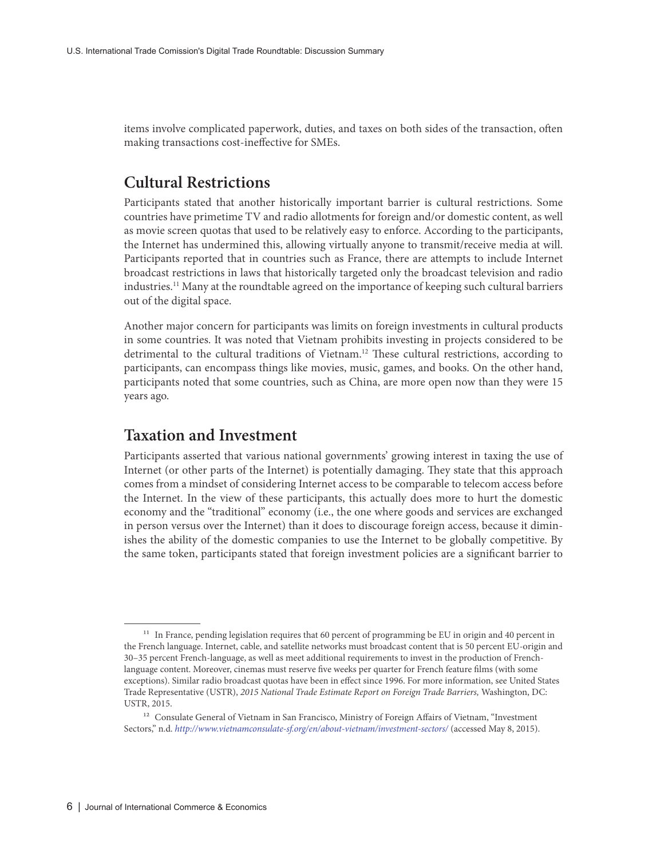items involve complicated paperwork, duties, and taxes on both sides of the transaction, often making transactions cost-ineffective for SMEs.

## **Cultural Restrictions**

Participants stated that another historically important barrier is cultural restrictions. Some countries have primetime TV and radio allotments for foreign and/or domestic content, as well as movie screen quotas that used to be relatively easy to enforce. According to the participants, the Internet has undermined this, allowing virtually anyone to transmit/receive media at will. Participants reported that in countries such as France, there are attempts to include Internet broadcast restrictions in laws that historically targeted only the broadcast television and radio industries.<sup>11</sup> Many at the roundtable agreed on the importance of keeping such cultural barriers out of the digital space.

Another major concern for participants was limits on foreign investments in cultural products in some countries. It was noted that Vietnam prohibits investing in projects considered to be detrimental to the cultural traditions of Vietnam.12 These cultural restrictions, according to participants, can encompass things like movies, music, games, and books. On the other hand, participants noted that some countries, such as China, are more open now than they were 15 years ago.

#### **Taxation and Investment**

Participants asserted that various national governments' growing interest in taxing the use of Internet (or other parts of the Internet) is potentially damaging. They state that this approach comes from a mindset of considering Internet access to be comparable to telecom access before the Internet. In the view of these participants, this actually does more to hurt the domestic economy and the "traditional" economy (i.e., the one where goods and services are exchanged in person versus over the Internet) than it does to discourage foreign access, because it diminishes the ability of the domestic companies to use the Internet to be globally competitive. By the same token, participants stated that foreign investment policies are a significant barrier to

 $11$  In France, pending legislation requires that 60 percent of programming be EU in origin and 40 percent in the French language. Internet, cable, and satellite networks must broadcast content that is 50 percent EU-origin and 30–35 percent French-language, as well as meet additional requirements to invest in the production of Frenchlanguage content. Moreover, cinemas must reserve five weeks per quarter for French feature films (with some exceptions). Similar radio broadcast quotas have been in effect since 1996. For more information, see United States Trade Representative (USTR), *2015 National Trade Estimate Report on Foreign Trade Barriers,* Washington, DC: USTR, 2015.

<sup>&</sup>lt;sup>12</sup> Consulate General of Vietnam in San Francisco, Ministry of Foreign Affairs of Vietnam, "Investment Sectors," n.d. *http://www.vietnamconsulate-sf.org/en/about-vietnam/investment-sectors/* (accessed May 8, 2015).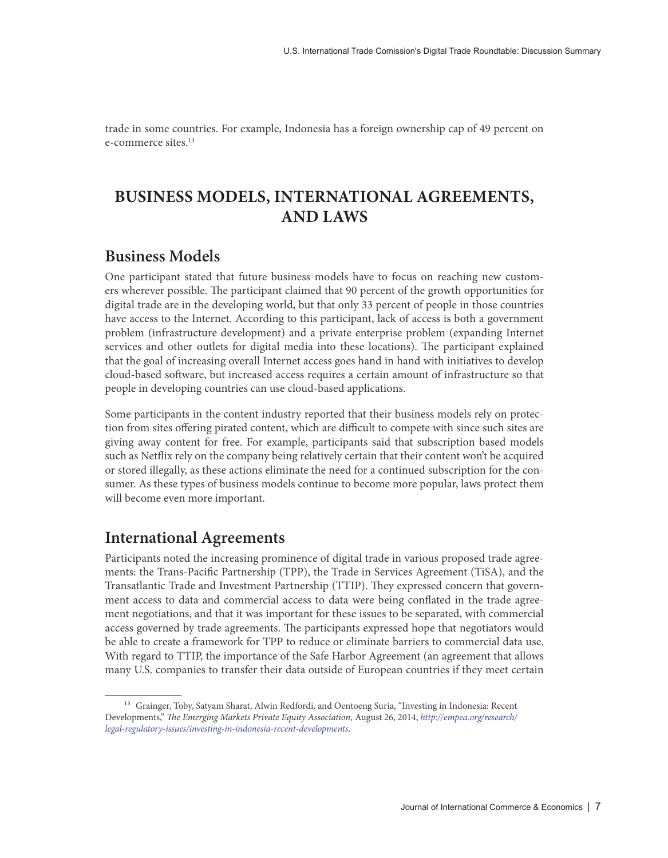trade in some countries. For example, Indonesia has a foreign ownership cap of 49 percent on e-commerce sites.13

# **BUSINESS MODELS, INTERNATIONAL AGREEMENTS, AND LAWS**

## **Business Models**

One participant stated that future business models have to focus on reaching new customers wherever possible. The participant claimed that 90 percent of the growth opportunities for digital trade are in the developing world, but that only 33 percent of people in those countries have access to the Internet. According to this participant, lack of access is both a government problem (infrastructure development) and a private enterprise problem (expanding Internet services and other outlets for digital media into these locations). The participant explained that the goal of increasing overall Internet access goes hand in hand with initiatives to develop cloud-based software, but increased access requires a certain amount of infrastructure so that people in developing countries can use cloud-based applications.

Some participants in the content industry reported that their business models rely on protection from sites offering pirated content, which are difficult to compete with since such sites are giving away content for free. For example, participants said that subscription based models such as Netflix rely on the company being relatively certain that their content won't be acquired or stored illegally, as these actions eliminate the need for a continued subscription for the consumer. As these types of business models continue to become more popular, laws protect them will become even more important.

## **International Agreements**

Participants noted the increasing prominence of digital trade in various proposed trade agreements: the Trans-Pacific Partnership (TPP), the Trade in Services Agreement (TiSA), and the Transatlantic Trade and Investment Partnership (TTIP). They expressed concern that government access to data and commercial access to data were being conflated in the trade agreement negotiations, and that it was important for these issues to be separated, with commercial access governed by trade agreements. The participants expressed hope that negotiators would be able to create a framework for TPP to reduce or eliminate barriers to commercial data use. With regard to TTIP, the importance of the Safe Harbor Agreement (an agreement that allows many U.S. companies to transfer their data outside of European countries if they meet certain

<sup>&</sup>lt;sup>13</sup> Grainger, Toby, Satyam Sharat, Alwin Redfordi, and Oentoeng Suria, "Investing in Indonesia: Recent Developments," *The Emerging Markets Private Equity Association,* August 26, 2014, *[http://empea.org/research/](http://empea.org/research/legal-regulatory-issues/investing-in-indonesia-recent-developments) [legal-regulatory-issues/investing-in-indonesia-recent-developments](http://empea.org/research/legal-regulatory-issues/investing-in-indonesia-recent-developments)*.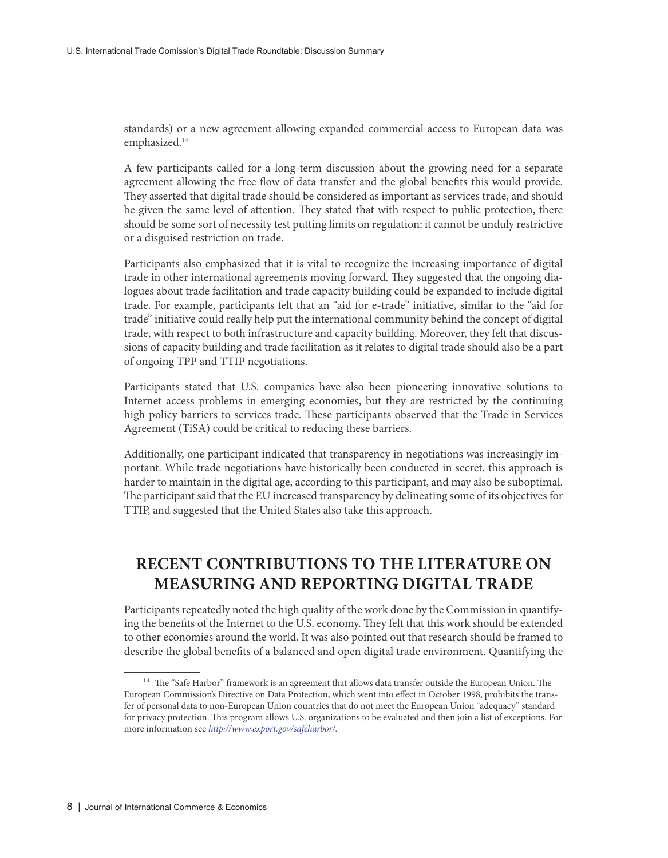standards) or a new agreement allowing expanded commercial access to European data was emphasized.<sup>14</sup>

A few participants called for a long-term discussion about the growing need for a separate agreement allowing the free flow of data transfer and the global benefits this would provide. They asserted that digital trade should be considered as important as services trade, and should be given the same level of attention. They stated that with respect to public protection, there should be some sort of necessity test putting limits on regulation: it cannot be unduly restrictive or a disguised restriction on trade.

Participants also emphasized that it is vital to recognize the increasing importance of digital trade in other international agreements moving forward. They suggested that the ongoing dialogues about trade facilitation and trade capacity building could be expanded to include digital trade. For example, participants felt that an "aid for e-trade" initiative, similar to the "aid for trade" initiative could really help put the international community behind the concept of digital trade, with respect to both infrastructure and capacity building. Moreover, they felt that discussions of capacity building and trade facilitation as it relates to digital trade should also be a part of ongoing TPP and TTIP negotiations.

Participants stated that U.S. companies have also been pioneering innovative solutions to Internet access problems in emerging economies, but they are restricted by the continuing high policy barriers to services trade. These participants observed that the Trade in Services Agreement (TiSA) could be critical to reducing these barriers.

Additionally, one participant indicated that transparency in negotiations was increasingly important. While trade negotiations have historically been conducted in secret, this approach is harder to maintain in the digital age, according to this participant, and may also be suboptimal. The participant said that the EU increased transparency by delineating some of its objectives for TTIP, and suggested that the United States also take this approach.

# **RECENT CONTRIBUTIONS TO THE LITERATURE ON MEASURING AND REPORTING DIGITAL TRADE**

Participants repeatedly noted the high quality of the work done by the Commission in quantifying the benefits of the Internet to the U.S. economy. They felt that this work should be extended to other economies around the world. It was also pointed out that research should be framed to describe the global benefits of a balanced and open digital trade environment. Quantifying the

<sup>&</sup>lt;sup>14</sup> The "Safe Harbor" framework is an agreement that allows data transfer outside the European Union. The European Commission's Directive on Data Protection, which went into effect in October 1998, prohibits the transfer of personal data to non-European Union countries that do not meet the European Union "adequacy" standard for privacy protection. This program allows U.S. organizations to be evaluated and then join a list of exceptions. For more information see *http://www.export.gov/safeharbor/.*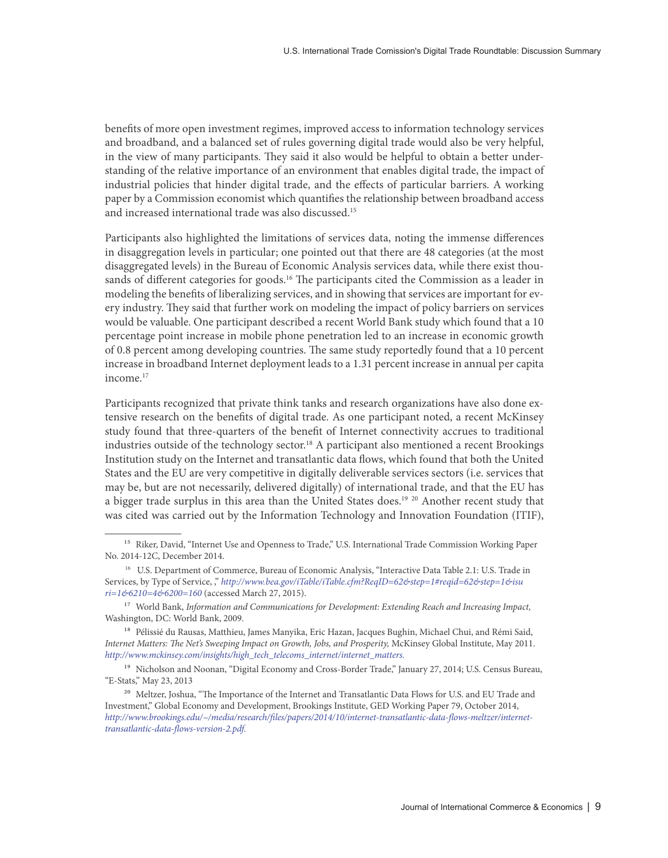benefits of more open investment regimes, improved access to information technology services and broadband, and a balanced set of rules governing digital trade would also be very helpful, in the view of many participants. They said it also would be helpful to obtain a better understanding of the relative importance of an environment that enables digital trade, the impact of industrial policies that hinder digital trade, and the effects of particular barriers. A working paper by a Commission economist which quantifies the relationship between broadband access and increased international trade was also discussed.15

Participants also highlighted the limitations of services data, noting the immense differences in disaggregation levels in particular; one pointed out that there are 48 categories (at the most disaggregated levels) in the Bureau of Economic Analysis services data, while there exist thousands of different categories for goods.<sup>16</sup> The participants cited the Commission as a leader in modeling the benefits of liberalizing services, and in showing that services are important for every industry. They said that further work on modeling the impact of policy barriers on services would be valuable. One participant described a recent World Bank study which found that a 10 percentage point increase in mobile phone penetration led to an increase in economic growth of 0.8 percent among developing countries. The same study reportedly found that a 10 percent increase in broadband Internet deployment leads to a 1.31 percent increase in annual per capita income.<sup>17</sup>

Participants recognized that private think tanks and research organizations have also done extensive research on the benefits of digital trade. As one participant noted, a recent McKinsey study found that three-quarters of the benefit of Internet connectivity accrues to traditional industries outside of the technology sector.<sup>18</sup> A participant also mentioned a recent Brookings Institution study on the Internet and transatlantic data flows, which found that both the United States and the EU are very competitive in digitally deliverable services sectors (i.e. services that may be, but are not necessarily, delivered digitally) of international trade, and that the EU has a bigger trade surplus in this area than the United States does.<sup>19 20</sup> Another recent study that was cited was carried out by the Information Technology and Innovation Foundation (ITIF),

<sup>&</sup>lt;sup>15</sup> Riker, David, "Internet Use and Openness to Trade," U.S. International Trade Commission Working Paper No. 2014-12C, December 2014.

<sup>&</sup>lt;sup>16</sup> U.S. Department of Commerce, Bureau of Economic Analysis, "Interactive Data Table 2.1: U.S. Trade in Services, by Type of Service, ," *[http://www.bea.gov/iTable/iTable.cfm?ReqID=62&step=1#reqid=62&step=1&isu](http://www.bea.gov/iTable/iTable.cfm?ReqID=62&step=1#reqid=62&step=1&isuri=1&6210=4&6200=160) [ri=1&6210=4&6200=160](http://www.bea.gov/iTable/iTable.cfm?ReqID=62&step=1#reqid=62&step=1&isuri=1&6210=4&6200=160)* (accessed March 27, 2015).

<sup>&</sup>lt;sup>17</sup> World Bank, *Information and Communications for Development: Extending Reach and Increasing Impact,* Washington, DC: World Bank, 2009.

<sup>&</sup>lt;sup>18</sup> Pélissié du Rausas, Matthieu, James Manyika, Eric Hazan, Jacques Bughin, Michael Chui, and Rémi Said, *Internet Matters: The Net's Sweeping Impact on Growth, Jobs, and Prosperity,* McKinsey Global Institute, May 2011. *http://www.mckinsey.com/insights/high\_tech\_telecoms\_internet/internet\_matters.*

<sup>&</sup>lt;sup>19</sup> Nicholson and Noonan, "Digital Economy and Cross-Border Trade," January 27, 2014; U.S. Census Bureau, "E-Stats," May 23, 2013

<sup>&</sup>lt;sup>20</sup> Meltzer, Joshua, "The Importance of the Internet and Transatlantic Data Flows for U.S. and EU Trade and Investment," Global Economy and Development, Brookings Institute, GED Working Paper 79, October 2014, *http://www.brookings.edu/~/media/research/files/papers/2014/10/internet-transatlantic-data-flows-meltzer/internettransatlantic-data-flows-version-2.pdf.*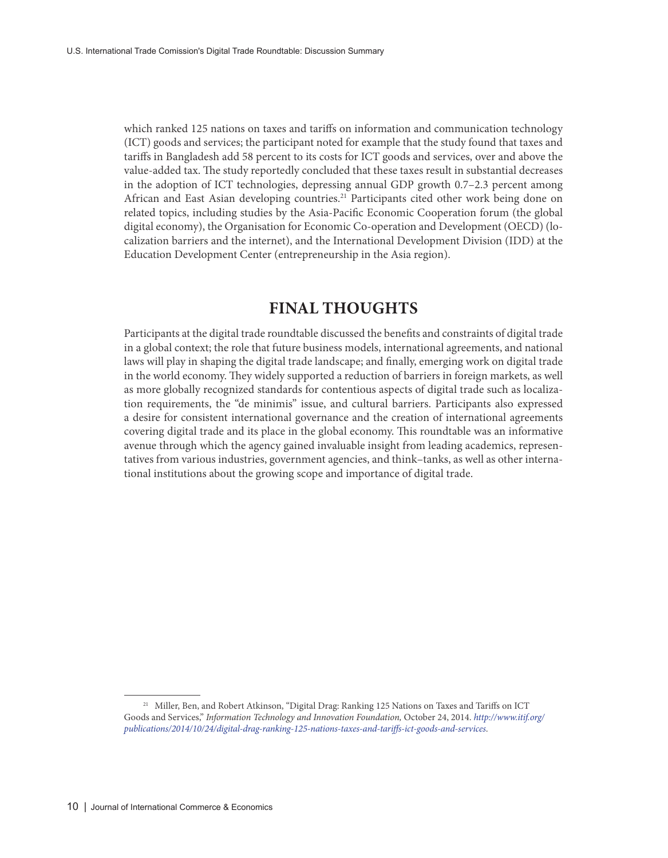which ranked 125 nations on taxes and tariffs on information and communication technology (ICT) goods and services; the participant noted for example that the study found that taxes and tariffs in Bangladesh add 58 percent to its costs for ICT goods and services, over and above the value-added tax. The study reportedly concluded that these taxes result in substantial decreases in the adoption of ICT technologies, depressing annual GDP growth 0.7–2.3 percent among African and East Asian developing countries.<sup>21</sup> Participants cited other work being done on related topics, including studies by the Asia-Pacific Economic Cooperation forum (the global digital economy), the Organisation for Economic Co-operation and Development (OECD) (localization barriers and the internet), and the International Development Division (IDD) at the Education Development Center (entrepreneurship in the Asia region).

#### **FINAL THOUGHTS**

Participants at the digital trade roundtable discussed the benefits and constraints of digital trade in a global context; the role that future business models, international agreements, and national laws will play in shaping the digital trade landscape; and finally, emerging work on digital trade in the world economy. They widely supported a reduction of barriers in foreign markets, as well as more globally recognized standards for contentious aspects of digital trade such as localization requirements, the "de minimis" issue, and cultural barriers. Participants also expressed a desire for consistent international governance and the creation of international agreements covering digital trade and its place in the global economy. This roundtable was an informative avenue through which the agency gained invaluable insight from leading academics, representatives from various industries, government agencies, and think–tanks, as well as other international institutions about the growing scope and importance of digital trade.

<sup>&</sup>lt;sup>21</sup> Miller, Ben, and Robert Atkinson, "Digital Drag: Ranking 125 Nations on Taxes and Tariffs on ICT Goods and Services," *Information Technology and Innovation Foundation,* October 24, 2014. *[http://www.itif.org/](http://www.itif.org/publications/2014/10/24/digital-drag-ranking-125-nations-taxes-and-tariffs-ict-goods-and-services) [publications/2014/10/24/digital-drag-ranking-125-nations-taxes-and-tariffs-ict-goods-and-services](http://www.itif.org/publications/2014/10/24/digital-drag-ranking-125-nations-taxes-and-tariffs-ict-goods-and-services)*.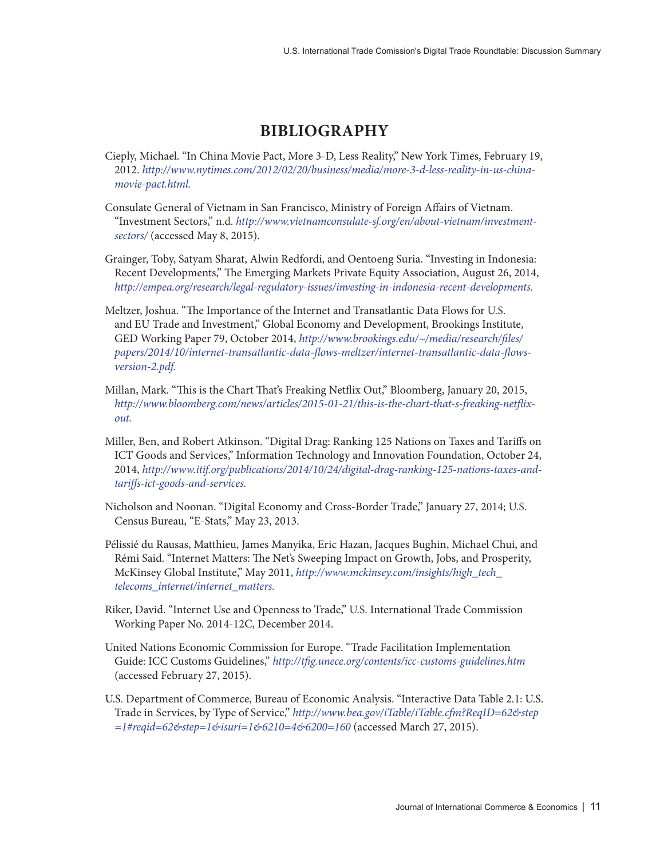## **BIBLIOGRAPHY**

- Cieply, Michael. "In China Movie Pact, More 3-D, Less Reality," New York Times, February 19, 2012. *http://www.nytimes.com/2012/02/20/business/media/more-3-d-less-reality-in-us-chinamovie-pact.html.*
- Consulate General of Vietnam in San Francisco, Ministry of Foreign Affairs of Vietnam. "Investment Sectors," n.d. *http://www.vietnamconsulate-sf.org/en/about-vietnam/investmentsectors/* (accessed May 8, 2015).
- Grainger, Toby, Satyam Sharat, Alwin Redfordi, and Oentoeng Suria. "Investing in Indonesia: Recent Developments," The Emerging Markets Private Equity Association, August 26, 2014, *http://empea.org/research/legal-regulatory-issues/investing-in-indonesia-recent-developments.*
- Meltzer, Joshua. "The Importance of the Internet and Transatlantic Data Flows for U.S. and EU Trade and Investment," Global Economy and Development, Brookings Institute, GED Working Paper 79, October 2014, *[http://www.brookings.edu/~/media/research/files/](http://www.brookings.edu/~/media/research/files/papers/2014/10/internet-transatlantic-data-flows-meltzer/internet-transatlantic-data-flows-version-2.pdf) [papers/2014/10/internet-transatlantic-data-flows-meltzer/internet-transatlantic-data-flows](http://www.brookings.edu/~/media/research/files/papers/2014/10/internet-transatlantic-data-flows-meltzer/internet-transatlantic-data-flows-version-2.pdf)[version-2.pdf](http://www.brookings.edu/~/media/research/files/papers/2014/10/internet-transatlantic-data-flows-meltzer/internet-transatlantic-data-flows-version-2.pdf).*
- Millan, Mark. "This is the Chart That's Freaking Netflix Out," Bloomberg, January 20, 2015, *[http://www.bloomberg.com/news/articles/2015-01-21/this-is-the-chart-that-s-freaking-netflix](http://www.bloomberg.com/news/articles/2015-01-21/this-is-the-chart-that-s-freaking-netflix-out)[out.](http://www.bloomberg.com/news/articles/2015-01-21/this-is-the-chart-that-s-freaking-netflix-out)*
- Miller, Ben, and Robert Atkinson. "Digital Drag: Ranking 125 Nations on Taxes and Tariffs on ICT Goods and Services," Information Technology and Innovation Foundation, October 24, 2014, *[http://www.itif.org/publications/2014/10/24/digital-drag-ranking-125-nations-taxes-and](http://www.itif.org/publications/2014/10/24/digital-drag-ranking-125-nations-taxes-and-tariffs-ict-goods-and-services)[tariffs-ict-goods-and-services.](http://www.itif.org/publications/2014/10/24/digital-drag-ranking-125-nations-taxes-and-tariffs-ict-goods-and-services)*
- Nicholson and Noonan. "Digital Economy and Cross-Border Trade," January 27, 2014; U.S. Census Bureau, "E-Stats," May 23, 2013.
- Pélissié du Rausas, Matthieu, James Manyika, Eric Hazan, Jacques Bughin, Michael Chui, and Rémi Said. "Internet Matters: The Net's Sweeping Impact on Growth, Jobs, and Prosperity, McKinsey Global Institute," May 2011, *[http://www.mckinsey.com/insights/high\\_tech\\_](http://www.mckinsey.com/insights/high_tech_telecoms_internet/internet_matters) [telecoms\\_internet/internet\\_matters.](http://www.mckinsey.com/insights/high_tech_telecoms_internet/internet_matters)*
- Riker, David. "Internet Use and Openness to Trade," U.S. International Trade Commission Working Paper No. 2014-12C, December 2014.
- United Nations Economic Commission for Europe. "Trade Facilitation Implementation Guide: ICC Customs Guidelines," *http://tfig.unece.org/contents/icc-customs-guidelines.htm* (accessed February 27, 2015).
- U.S. Department of Commerce, Bureau of Economic Analysis. "Interactive Data Table 2.1: U.S. Trade in Services, by Type of Service," *[http://www.bea.gov/iTable/iTable.cfm?ReqID=62&step](http://www.bea.gov/iTable/iTable.cfm?ReqID=62&step=1#reqid=62&step=1&isuri=1&6210=4&6200=160) [=1#reqid=62&step=1&isuri=1&6210=4&6200=160](http://www.bea.gov/iTable/iTable.cfm?ReqID=62&step=1#reqid=62&step=1&isuri=1&6210=4&6200=160)* (accessed March 27, 2015).